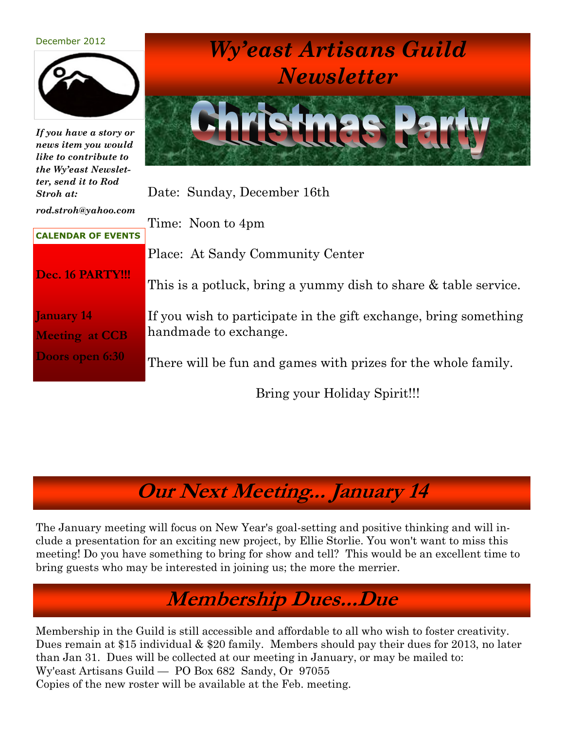#### December 2012



*If you have a story or news item you would like to contribute to the Wy'east Newsletter, send it to Rod Stroh at:*

*Wy'east Artisans Guild Newsletter*



Date: Sunday, December 16th

*rod.stroh@yahoo.com* 

Time: Noon to 4pm

Place: At Sandy Community Center

**Dec. 16 PARTY!!!**

**CALENDAR OF EVENTS**

**January 14 Meeting at CCB Doors open 6:30**

This is a potluck, bring a yummy dish to share & table service.

If you wish to participate in the gift exchange, bring something handmade to exchange.

There will be fun and games with prizes for the whole family.

Bring your Holiday Spirit!!!

## **Our Next Meeting... January 14**

The January meeting will focus on New Year's goal-setting and positive thinking and will include a presentation for an exciting new project, by Ellie Storlie. You won't want to miss this meeting! Do you have something to bring for show and tell? This would be an excellent time to bring guests who may be interested in joining us; the more the merrier.

### **Membership Dues...Due**

Membership in the Guild is still accessible and affordable to all who wish to foster creativity. Dues remain at \$15 individual & \$20 family. Members should pay their dues for 2013, no later than Jan 31. Dues will be collected at our meeting in January, or may be mailed to: Wy'east Artisans Guild — PO Box 682 Sandy, Or 97055 Copies of the new roster will be available at the Feb. meeting.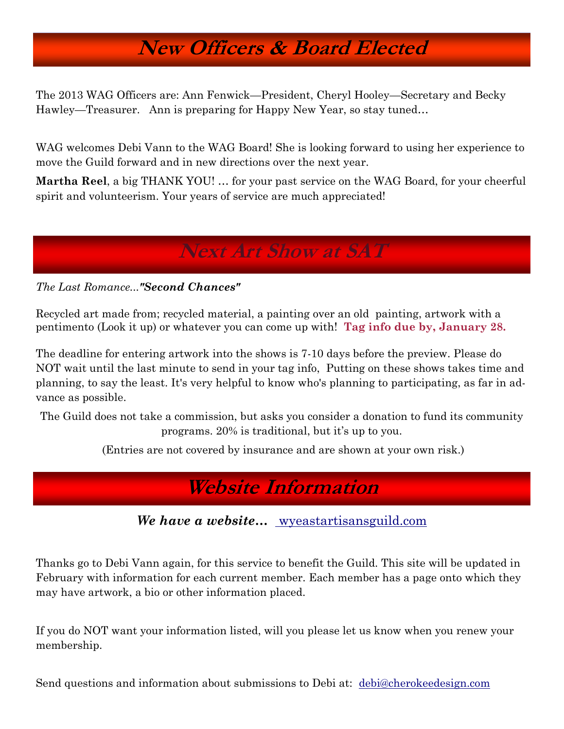### **New Officers & Board Elected**

The 2013 WAG Officers are: Ann Fenwick—President, Cheryl Hooley—Secretary and Becky Hawley—Treasurer. Ann is preparing for Happy New Year, so stay tuned…

WAG welcomes Debi Vann to the WAG Board! She is looking forward to using her experience to move the Guild forward and in new directions over the next year.

**Martha Reel**, a big THANK YOU! … for your past service on the WAG Board, for your cheerful spirit and volunteerism. Your years of service are much appreciated!

#### **Next Art Show at SAT**

*The Last Romance..."Second Chances"*

Recycled art made from; recycled material, a painting over an old painting, artwork with a pentimento (Look it up) or whatever you can come up with! **Tag info due by, January 28.**

The deadline for entering artwork into the shows is 7-10 days before the preview. Please do NOT wait until the last minute to send in your tag info, Putting on these shows takes time and planning, to say the least. It's very helpful to know who's planning to participating, as far in advance as possible.

The Guild does not take a commission, but asks you consider a donation to fund its community programs. 20% is traditional, but it's up to you.

(Entries are not covered by insurance and are shown at your own risk.)

**Website Information**

We have a website... wyeastartisansguild.com

Thanks go to Debi Vann again, for this service to benefit the Guild. This site will be updated in February with information for each current member. Each member has a page onto which they may have artwork, a bio or other information placed.

If you do NOT want your information listed, will you please let us know when you renew your membership.

Send questions and information about submissions to Debi at: [debi@cherokeedesign.com](mailto:debi@cherokeedesign.com)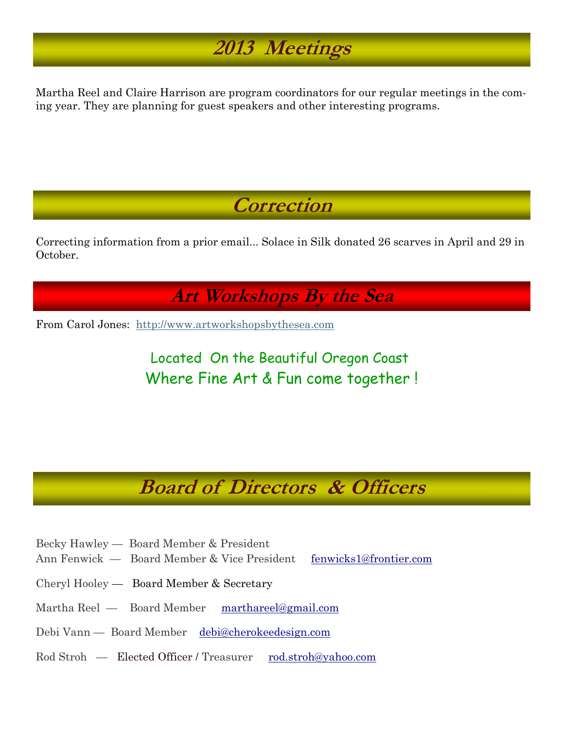## **2013 Meetings**

Martha Reel and Claire Harrison are program coordinators for our regular meetings in the coming year. They are planning for guest speakers and other interesting programs.

**Correction**

Correcting information from a prior email... Solace in Silk donated 26 scarves in April and 29 in October.

**Art Workshops By the Sea** 

From Carol Jones: [http://www.artworkshopsbythesea.com](http://www.artworkshopsbythesea.com/)

Located On the Beautiful Oregon Coast Where Fine Art & Fun come together !

### **Board of Directors & Officers**

- Becky Hawley Board Member & President
- Ann Fenwick Board Member & Vice President [fenwicks1@](mailto:fenwicks1@frontier.com)[frontier.com](mailto:kathrynedevries.artworks@gmail.com)
- Cheryl Hooley Board Member & Secretary
- Martha Reel Board Member [marthareel@gmail.com](mailto:marthareel@gmail.com)
- Debi Vann Board Member [debi@cherokeedesign.com](mailto:debi@cherokeedesign.com)
- Rod Stroh Elected Officer / Treasurer rod.stroh[@yahoo.com](mailto:bek.hawley@yahoo.com)